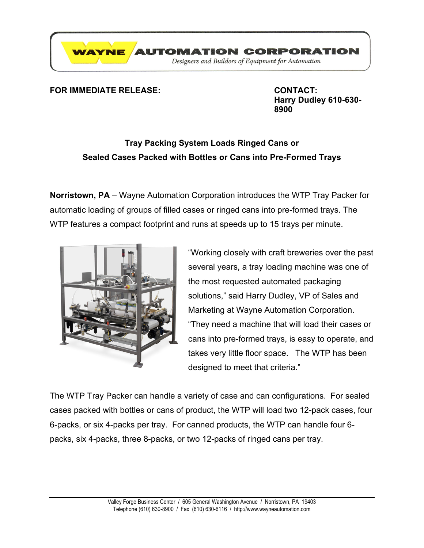

## **FOR IMMEDIATE RELEASE: CONTACT:**

**Harry Dudley 610-630- 8900**

## **Tray Packing System Loads Ringed Cans or Sealed Cases Packed with Bottles or Cans into Pre-Formed Trays**

**Norristown, PA** – Wayne Automation Corporation introduces the WTP Tray Packer for automatic loading of groups of filled cases or ringed cans into pre-formed trays. The WTP features a compact footprint and runs at speeds up to 15 trays per minute.



"Working closely with craft breweries over the past several years, a tray loading machine was one of the most requested automated packaging solutions," said Harry Dudley, VP of Sales and Marketing at Wayne Automation Corporation. "They need a machine that will load their cases or cans into pre-formed trays, is easy to operate, and takes very little floor space. The WTP has been designed to meet that criteria."

The WTP Tray Packer can handle a variety of case and can configurations. For sealed cases packed with bottles or cans of product, the WTP will load two 12-pack cases, four 6-packs, or six 4-packs per tray. For canned products, the WTP can handle four 6 packs, six 4-packs, three 8-packs, or two 12-packs of ringed cans per tray.